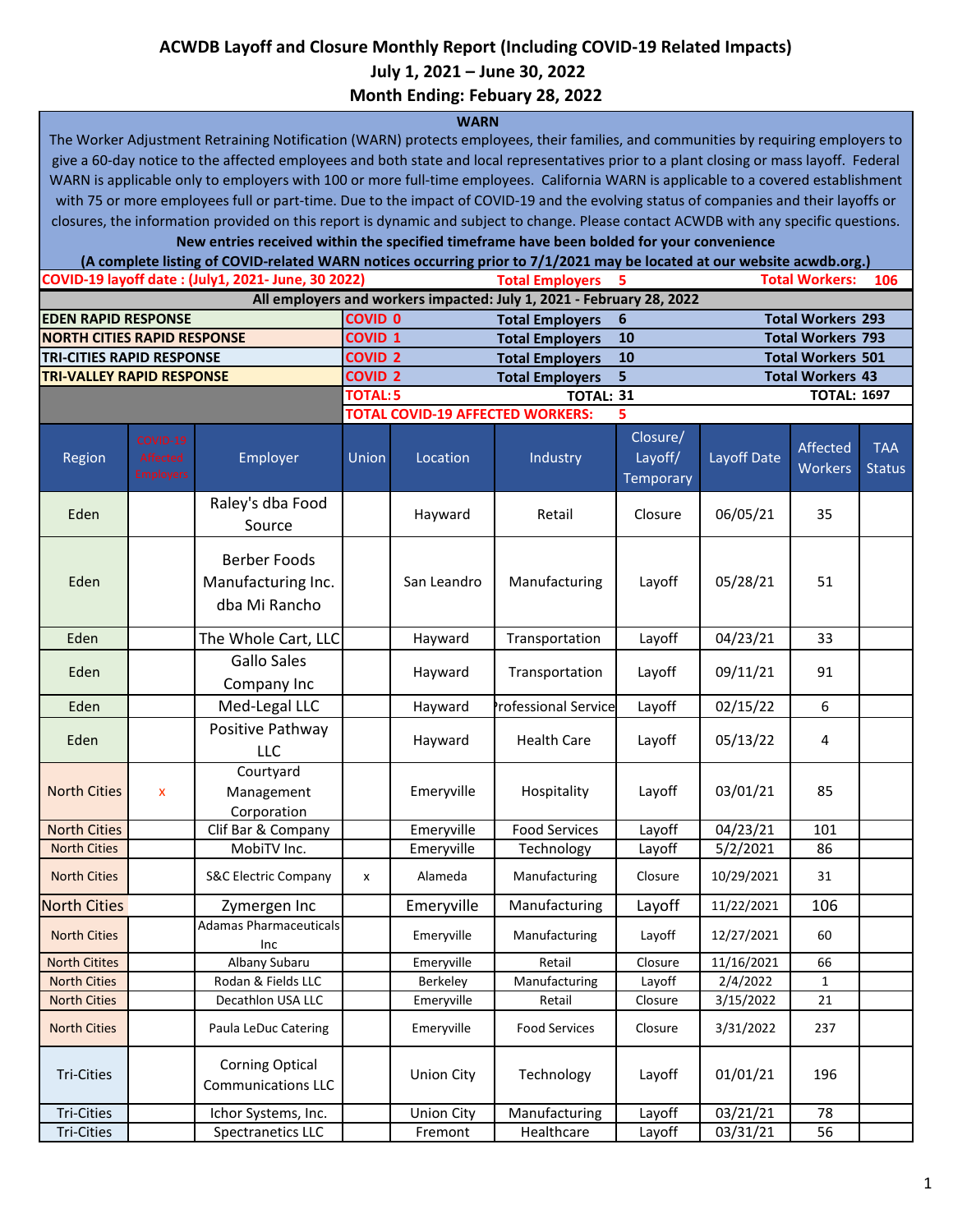## **ACWDB Layoff and Closure Monthly Report (Including COVID-19 Related Impacts)**

 **July 1, 2021 – June 30, 2022**

**Month Ending: Febuary 28, 2022**

## **WARN**

The Worker Adjustment Retraining Notification (WARN) protects employees, their families, and communities by requiring employers to give a 60-day notice to the affected employees and both state and local representatives prior to a plant closing or mass layoff. Federal WARN is applicable only to employers with 100 or more full-time employees. California WARN is applicable to a covered establishment with 75 or more employees full or part-time. Due to the impact of COVID-19 and the evolving status of companies and their layoffs or closures, the information provided on this report is dynamic and subject to change. Please contact ACWDB with any specific questions.

**New entries received within the specified timeframe have been bolded for your convenience**

**Total Employers 5 106 EDEN RAPID RESPONSE COVID 0 Total Employers 6 Total Workers 293 NORTH CITIES RAPID RESPONSE COVID 1 Total Employers 10 Total Workers 793 TRI-CITIES RAPID RESPONSE COVID 2 Total Employers 10 Total Workers 501 TRI-VALLEY RAPID RESPONSE COVID 2 Total Employers 5 Total Workers 43 TOTAL:5 TOTAL: 31 TOTAL: 1697 TOTAL COVID-19 AFFECTED WORKERS: 5** Region Employer Union Location Industry Closure/ Layoff/ **Temporary** Layoff Date Affected **Workers** TAA **Status** Eden Raley's dba Food Source Hayward Retail  $\left| \right|$  Closure  $\left| \right|$  06/05/21  $\left| \right|$  35 Eden Berber Foods Manufacturing Inc. dba Mi Rancho San Leandro | Manufacturing | Layoff | 05/28/21 | 51 Eden **The Whole Cart, LLC** | Hayward | Transportation | Layoff | 04/23/21 | 33 Eden Gallo Sales Company Inc Hayward | Transportation | Layoff | 09/11/21 | 91 Eden | Med-Legal LLC | Hayward Professional Service Layoff | 02/15/22 | 6 Eden Positive Pathway LLC Hayward | Health Care | Layoff | 05/13/22 | 4 North Cities x Courtyard Management Corporation Emeryville | Hospitality | Layoff | 03/01/21 | 85 North Cities | Clif Bar & Company | Emeryville | Food Services | Layoff | 04/23/21 | 101 North Cities | MobiTV Inc. | Emeryville | Technology | Layoff | 5/2/2021 | 86 North Cities | S&C Electric Company | x | Alameda | Manufacturing | Closure | 10/29/2021 | 31 North Cities **North Cities No. 11, 2016** 2ymergen Inc **Reference Proton Layoff 11/22/2021** 106 North Cities **Adamas Pharmaceuticals** Inc Emeryville Manufacturing Layoff 12/27/2021 60 North Citites **Albany Subaru | Emeryville Retail | Closure 11/16/2021 | 66** North Cities **Rodan & Fields LLC** Berkeley Manufacturing Layoff 2/4/2022 1 North Cities | Decathlon USA LLC | Emeryville | Retail | Closure | 3/15/2022 | 21 North Cities **Paula LeDuc Catering Fig. 1202** Emeryville Food Services Closure 3/31/2022 237 Tri-Cities Corning Optical Communications LLC Union City | Technology | Layoff |  $01/01/21$  | 196 Tri-Cities | Chor Systems, Inc. | Union City | Manufacturing | Layoff | 03/21/21 | 78 Tri-Cities Spectranetics LLC Fremont Healthcare Layoff 03/31/21 56 **COVID-19 layoff date : (July1, 2021- June, 30 2022) Total Workers: All employers and workers impacted: July 1, 2021 - February 28, 2022 (A complete listing of COVID-related WARN notices occurring prior to 7/1/2021 may be located at our website acwdb.org.)**